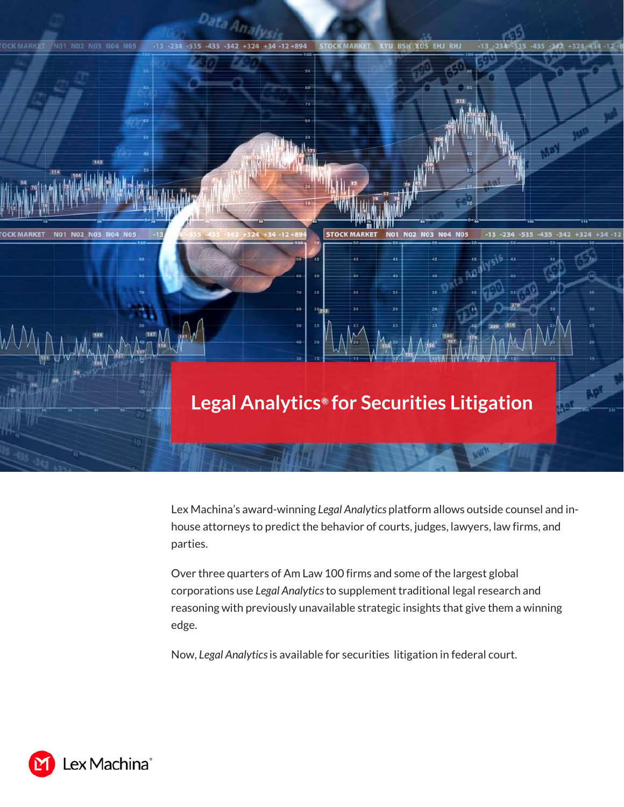

Lex Machina's award-winning *Legal Analytics* platform allows outside counsel and inhouse attorneys to predict the behavior of courts, judges, lawyers, law firms, and parties.

Over three quarters of Am Law 100 firms and some of the largest global corporations use *Legal Analytics* to supplement traditional legal research and reasoning with previously unavailable strategic insights that give them a winning edge.

Now, *Legal Analytics*is available for securities litigation in federal court.